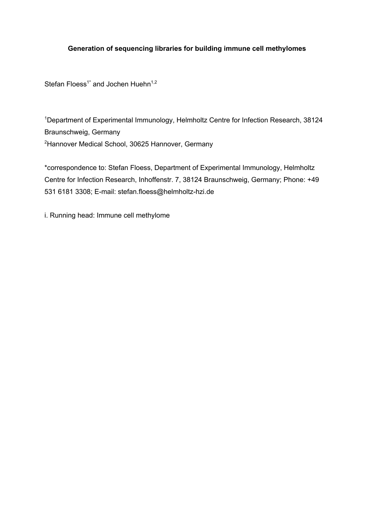# **Generation of sequencing libraries for building immune cell methylomes**

Stefan Floess<sup>1\*</sup> and Jochen Huehn<sup>1,2</sup>

<sup>1</sup>Department of Experimental Immunology, Helmholtz Centre for Infection Research, 38124 Braunschweig, Germany <sup>2</sup>Hannover Medical School, 30625 Hannover, Germany

\*correspondence to: Stefan Floess, Department of Experimental Immunology, Helmholtz Centre for Infection Research, Inhoffenstr. 7, 38124 Braunschweig, Germany; Phone: +49 531 6181 3308; E-mail: stefan.floess@helmholtz-hzi.de

i. Running head: Immune cell methylome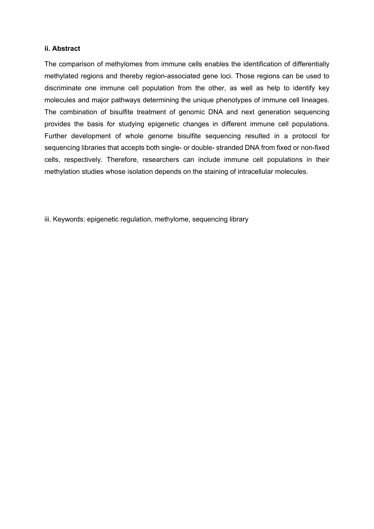#### **ii. Abstract**

The comparison of methylomes from immune cells enables the identification of differentially methylated regions and thereby region-associated gene loci. Those regions can be used to discriminate one immune cell population from the other, as well as help to identify key molecules and major pathways determining the unique phenotypes of immune cell lineages. The combination of bisulfite treatment of genomic DNA and next generation sequencing provides the basis for studying epigenetic changes in different immune cell populations. Further development of whole genome bisulfite sequencing resulted in a protocol for sequencing libraries that accepts both single- or double- stranded DNA from fixed or non-fixed cells, respectively. Therefore, researchers can include immune cell populations in their methylation studies whose isolation depends on the staining of intracellular molecules.

iii. Keywords: epigenetic regulation, methylome, sequencing library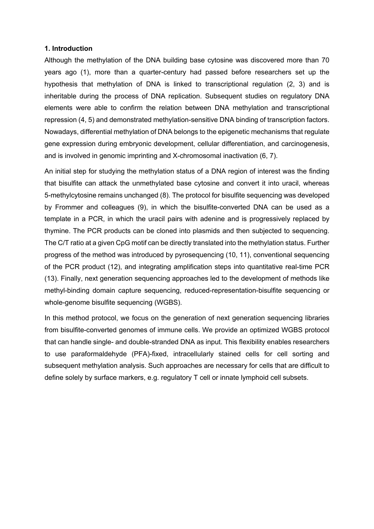#### **1. Introduction**

Although the methylation of the DNA building base cytosine was discovered more than 70 years ago (1), more than a quarter-century had passed before researchers set up the hypothesis that methylation of DNA is linked to transcriptional regulation (2, 3) and is inheritable during the process of DNA replication. Subsequent studies on regulatory DNA elements were able to confirm the relation between DNA methylation and transcriptional repression (4, 5) and demonstrated methylation-sensitive DNA binding of transcription factors. Nowadays, differential methylation of DNA belongs to the epigenetic mechanisms that regulate gene expression during embryonic development, cellular differentiation, and carcinogenesis, and is involved in genomic imprinting and X-chromosomal inactivation (6, 7).

An initial step for studying the methylation status of a DNA region of interest was the finding that bisulfite can attack the unmethylated base cytosine and convert it into uracil, whereas 5-methylcytosine remains unchanged (8). The protocol for bisulfite sequencing was developed by Frommer and colleagues (9), in which the bisulfite-converted DNA can be used as a template in a PCR, in which the uracil pairs with adenine and is progressively replaced by thymine. The PCR products can be cloned into plasmids and then subjected to sequencing. The C/T ratio at a given CpG motif can be directly translated into the methylation status. Further progress of the method was introduced by pyrosequencing (10, 11), conventional sequencing of the PCR product (12), and integrating amplification steps into quantitative real-time PCR (13). Finally, next generation sequencing approaches led to the development of methods like methyl-binding domain capture sequencing, reduced-representation-bisulfite sequencing or whole-genome bisulfite sequencing (WGBS).

In this method protocol, we focus on the generation of next generation sequencing libraries from bisulfite-converted genomes of immune cells. We provide an optimized WGBS protocol that can handle single- and double-stranded DNA as input. This flexibility enables researchers to use paraformaldehyde (PFA)-fixed, intracellularly stained cells for cell sorting and subsequent methylation analysis. Such approaches are necessary for cells that are difficult to define solely by surface markers, e.g. regulatory T cell or innate lymphoid cell subsets.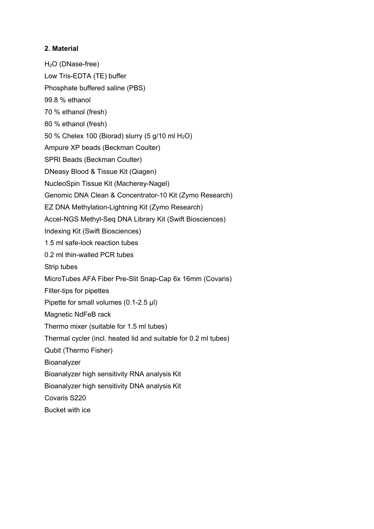#### **2. Material**

H<sub>2</sub>O (DNase-free) Low Tris-EDTA (TE) buffer Phosphate buffered saline (PBS) 99.8 % ethanol 70 % ethanol (fresh) 80 % ethanol (fresh) 50 % Chelex 100 (Biorad) slurry  $(5 g/10 ml H<sub>2</sub>O)$ Ampure XP beads (Beckman Coulter) SPRI Beads (Beckman Coulter) DNeasy Blood & Tissue Kit (Qiagen) NucleoSpin Tissue Kit (Macherey-Nagel) Genomic DNA Clean & Concentrator-10 Kit (Zymo Research) EZ DNA Methylation-Lightning Kit (Zymo Research) Accel-NGS Methyl-Seq DNA Library Kit (Swift Biosciences) Indexing Kit (Swift Biosciences) 1.5 ml safe-lock reaction tubes 0.2 ml thin-walled PCR tubes Strip tubes MicroTubes AFA Fiber Pre-Slit Snap-Cap 6x 16mm (Covaris) Filter-tips for pipettes Pipette for small volumes (0.1-2.5 µl) Magnetic NdFeB rack Thermo mixer (suitable for 1.5 ml tubes) Thermal cycler (incl. heated lid and suitable for 0.2 ml tubes) Qubit (Thermo Fisher) Bioanalyzer Bioanalyzer high sensitivity RNA analysis Kit Bioanalyzer high sensitivity DNA analysis Kit Covaris S220 Bucket with ice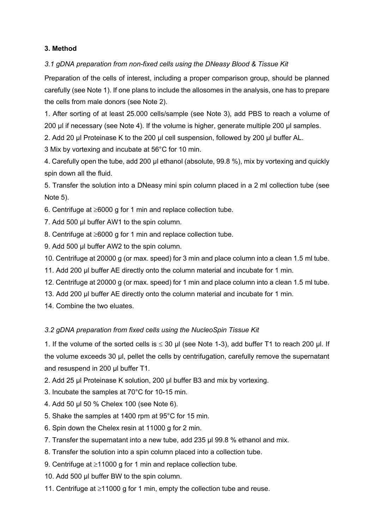# **3. Method**

# *3.1 gDNA preparation from non-fixed cells using the DNeasy Blood & Tissue Kit*

Preparation of the cells of interest, including a proper comparison group, should be planned carefully (see Note 1). If one plans to include the allosomes in the analysis, one has to prepare the cells from male donors (see Note 2).

1. After sorting of at least 25.000 cells/sample (see Note 3), add PBS to reach a volume of 200 µl if necessary (see Note 4). If the volume is higher, generate multiple 200 µl samples.

2. Add 20 µl Proteinase K to the 200 µl cell suspension, followed by 200 µl buffer AL.

3 Mix by vortexing and incubate at 56°C for 10 min.

4. Carefully open the tube, add 200 µl ethanol (absolute, 99.8 %), mix by vortexing and quickly spin down all the fluid.

5. Transfer the solution into a DNeasy mini spin column placed in a 2 ml collection tube (see Note 5).

6. Centrifuge at  $\geq 6000$  g for 1 min and replace collection tube.

7. Add 500 µl buffer AW1 to the spin column.

8. Centrifuge at  $\geq 6000$  g for 1 min and replace collection tube.

9. Add 500 ul buffer AW2 to the spin column.

10. Centrifuge at 20000 g (or max. speed) for 3 min and place column into a clean 1.5 ml tube.

11. Add 200 µl buffer AE directly onto the column material and incubate for 1 min.

12. Centrifuge at 20000 g (or max. speed) for 1 min and place column into a clean 1.5 ml tube.

13. Add 200 µl buffer AE directly onto the column material and incubate for 1 min.

14. Combine the two eluates.

# *3.2 gDNA preparation from fixed cells using the NucleoSpin Tissue Kit*

1. If the volume of the sorted cells is  $\leq$  30 µl (see Note 1-3), add buffer T1 to reach 200 µl. If the volume exceeds 30 µl, pellet the cells by centrifugation, carefully remove the supernatant and resuspend in 200 µl buffer T1.

2. Add 25 µl Proteinase K solution, 200 µl buffer B3 and mix by vortexing.

3. Incubate the samples at 70°C for 10-15 min.

4. Add 50 µl 50 % Chelex 100 (see Note 6).

5. Shake the samples at 1400 rpm at 95°C for 15 min.

6. Spin down the Chelex resin at 11000 g for 2 min.

7. Transfer the supernatant into a new tube, add 235 µl 99.8 % ethanol and mix.

8. Transfer the solution into a spin column placed into a collection tube.

9. Centrifuge at  $\geq 11000$  g for 1 min and replace collection tube.

10. Add 500 µl buffer BW to the spin column.

11. Centrifuge at  $\geq$ 11000 g for 1 min, empty the collection tube and reuse.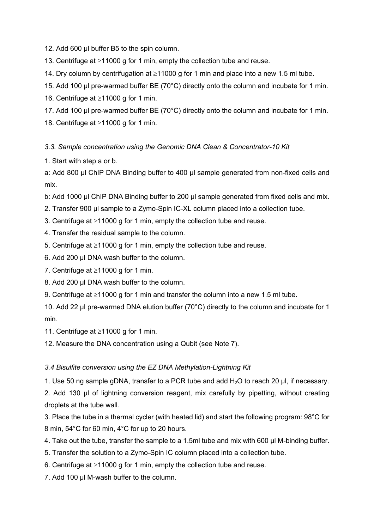12. Add 600 µl buffer B5 to the spin column.

13. Centrifuge at  $\geq$ 11000 g for 1 min, empty the collection tube and reuse.

14. Dry column by centrifugation at  $\geq$ 11000 g for 1 min and place into a new 1.5 ml tube.

- 15. Add 100 µl pre-warmed buffer BE (70°C) directly onto the column and incubate for 1 min.
- 16. Centrifuge at  $\geq$ 11000 g for 1 min.
- 17. Add 100 µl pre-warmed buffer BE (70°C) directly onto the column and incubate for 1 min.

18. Centrifuge at  $\geq$ 11000 g for 1 min.

*3.3. Sample concentration using the Genomic DNA Clean & Concentrator-10 Kit*

1. Start with step a or b.

a: Add 800 µl ChIP DNA Binding buffer to 400 µl sample generated from non-fixed cells and mix.

b: Add 1000 µl ChIP DNA Binding buffer to 200 µl sample generated from fixed cells and mix.

- 2. Transfer 900 µl sample to a Zymo-Spin IC-XL column placed into a collection tube.
- 3. Centrifuge at  $\geq$ 11000 g for 1 min, empty the collection tube and reuse.
- 4. Transfer the residual sample to the column.
- 5. Centrifuge at  $\geq$ 11000 g for 1 min, empty the collection tube and reuse.
- 6. Add 200 µl DNA wash buffer to the column.
- 7. Centrifuge at  $\geq$ 11000 g for 1 min.
- 8. Add 200 µl DNA wash buffer to the column.
- 9. Centrifuge at  $\geq$ 11000 g for 1 min and transfer the column into a new 1.5 ml tube.

10. Add 22 µl pre-warmed DNA elution buffer (70°C) directly to the column and incubate for 1 min.

11. Centrifuge at  $\geq$ 11000 g for 1 min.

12. Measure the DNA concentration using a Qubit (see Note 7).

#### *3.4 Bisulfite conversion using the EZ DNA Methylation-Lightning Kit*

1. Use 50 ng sample gDNA, transfer to a PCR tube and add H2O to reach 20 µl, if necessary.

2. Add 130 µl of lightning conversion reagent, mix carefully by pipetting, without creating droplets at the tube wall.

3. Place the tube in a thermal cycler (with heated lid) and start the following program: 98°C for 8 min, 54°C for 60 min, 4°C for up to 20 hours.

- 4. Take out the tube, transfer the sample to a 1.5ml tube and mix with 600 µl M-binding buffer.
- 5. Transfer the solution to a Zymo-Spin IC column placed into a collection tube.
- 6. Centrifuge at  $\geq$ 11000 g for 1 min, empty the collection tube and reuse.
- 7. Add 100 µl M-wash buffer to the column.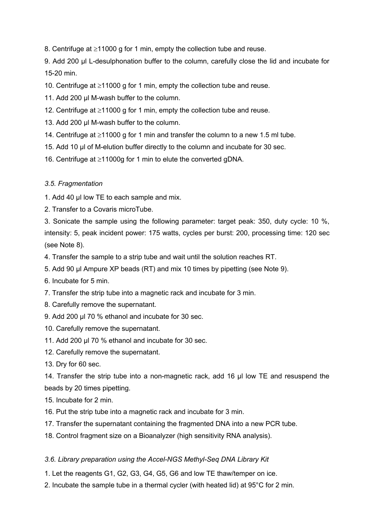8. Centrifuge at  $\geq$ 11000 g for 1 min, empty the collection tube and reuse.

9. Add 200 µl L-desulphonation buffer to the column, carefully close the lid and incubate for 15-20 min.

10. Centrifuge at  $\geq$ 11000 g for 1 min, empty the collection tube and reuse.

- 11. Add 200 µl M-wash buffer to the column.
- 12. Centrifuge at  $\geq$ 11000 g for 1 min, empty the collection tube and reuse.
- 13. Add 200 µl M-wash buffer to the column.
- 14. Centrifuge at  $\geq 11000$  g for 1 min and transfer the column to a new 1.5 ml tube.
- 15. Add 10 µl of M-elution buffer directly to the column and incubate for 30 sec.
- 16. Centrifuge at  $\geq$ 11000g for 1 min to elute the converted gDNA.

# *3.5. Fragmentation*

- 1. Add 40 µl low TE to each sample and mix.
- 2. Transfer to a Covaris microTube.

3. Sonicate the sample using the following parameter: target peak: 350, duty cycle: 10 %, intensity: 5, peak incident power: 175 watts, cycles per burst: 200, processing time: 120 sec (see Note 8).

- 4. Transfer the sample to a strip tube and wait until the solution reaches RT.
- 5. Add 90 µl Ampure XP beads (RT) and mix 10 times by pipetting (see Note 9).
- 6. Incubate for 5 min.
- 7. Transfer the strip tube into a magnetic rack and incubate for 3 min.
- 8. Carefully remove the supernatant.
- 9. Add 200 µl 70 % ethanol and incubate for 30 sec.
- 10. Carefully remove the supernatant.
- 11. Add 200 µl 70 % ethanol and incubate for 30 sec.
- 12. Carefully remove the supernatant.
- 13. Dry for 60 sec.

14. Transfer the strip tube into a non-magnetic rack, add 16 µl low TE and resuspend the beads by 20 times pipetting.

15. Incubate for 2 min.

- 16. Put the strip tube into a magnetic rack and incubate for 3 min.
- 17. Transfer the supernatant containing the fragmented DNA into a new PCR tube.
- 18. Control fragment size on a Bioanalyzer (high sensitivity RNA analysis).

# *3.6. Library preparation using the Accel-NGS Methyl-Seq DNA Library Kit*

- 1. Let the reagents G1, G2, G3, G4, G5, G6 and low TE thaw/temper on ice.
- 2. Incubate the sample tube in a thermal cycler (with heated lid) at 95°C for 2 min.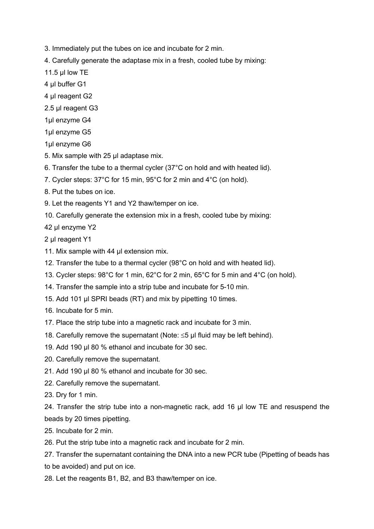- 3. Immediately put the tubes on ice and incubate for 2 min.
- 4. Carefully generate the adaptase mix in a fresh, cooled tube by mixing:
- 11.5 µl low TE
- 4 µl buffer G1
- 4 ul reagent G<sub>2</sub>
- 2.5 µl reagent G3
- 1µl enzyme G4
- 1µl enzyme G5

1µl enzyme G6

- 5. Mix sample with 25 µl adaptase mix.
- 6. Transfer the tube to a thermal cycler (37°C on hold and with heated lid).
- 7. Cycler steps: 37°C for 15 min, 95°C for 2 min and 4°C (on hold).
- 8. Put the tubes on ice.
- 9. Let the reagents Y1 and Y2 thaw/temper on ice.
- 10. Carefully generate the extension mix in a fresh, cooled tube by mixing:
- 42 µl enzyme Y2

2 µl reagent Y1

- 11. Mix sample with 44 ul extension mix.
- 12. Transfer the tube to a thermal cycler (98°C on hold and with heated lid).
- 13. Cycler steps: 98°C for 1 min, 62°C for 2 min, 65°C for 5 min and 4°C (on hold).
- 14. Transfer the sample into a strip tube and incubate for 5-10 min.
- 15. Add 101 µl SPRI beads (RT) and mix by pipetting 10 times.
- 16. Incubate for 5 min.
- 17. Place the strip tube into a magnetic rack and incubate for 3 min.
- 18. Carefully remove the supernatant (Note:  $\leq$ 5 µl fluid may be left behind).
- 19. Add 190 µl 80 % ethanol and incubate for 30 sec.
- 20. Carefully remove the supernatant.
- 21. Add 190 µl 80 % ethanol and incubate for 30 sec.
- 22. Carefully remove the supernatant.
- 23. Dry for 1 min.

24. Transfer the strip tube into a non-magnetic rack, add 16 µl low TE and resuspend the beads by 20 times pipetting.

25. Incubate for 2 min.

26. Put the strip tube into a magnetic rack and incubate for 2 min.

27. Transfer the supernatant containing the DNA into a new PCR tube (Pipetting of beads has to be avoided) and put on ice.

28. Let the reagents B1, B2, and B3 thaw/temper on ice.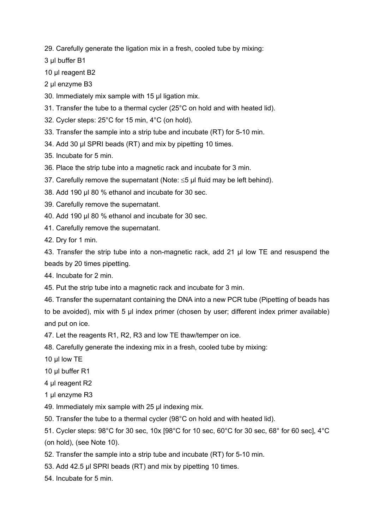29. Carefully generate the ligation mix in a fresh, cooled tube by mixing:

3 µl buffer B1

10 µl reagent B<sub>2</sub>

2 µl enzyme B3

30. Immediately mix sample with 15 µl ligation mix.

31. Transfer the tube to a thermal cycler (25°C on hold and with heated lid).

32. Cycler steps: 25°C for 15 min, 4°C (on hold).

33. Transfer the sample into a strip tube and incubate (RT) for 5-10 min.

34. Add 30 µl SPRI beads (RT) and mix by pipetting 10 times.

35. Incubate for 5 min.

36. Place the strip tube into a magnetic rack and incubate for 3 min.

37. Carefully remove the supernatant (Note:  $\leq$ 5 µl fluid may be left behind).

38. Add 190 µl 80 % ethanol and incubate for 30 sec.

39. Carefully remove the supernatant.

40. Add 190 µl 80 % ethanol and incubate for 30 sec.

41. Carefully remove the supernatant.

42. Dry for 1 min.

43. Transfer the strip tube into a non-magnetic rack, add 21 µl low TE and resuspend the beads by 20 times pipetting.

44. Incubate for 2 min.

45. Put the strip tube into a magnetic rack and incubate for 3 min.

46. Transfer the supernatant containing the DNA into a new PCR tube (Pipetting of beads has to be avoided), mix with 5 µl index primer (chosen by user; different index primer available) and put on ice.

47. Let the reagents R1, R2, R3 and low TE thaw/temper on ice.

48. Carefully generate the indexing mix in a fresh, cooled tube by mixing:

10 µl low TE

10 µl buffer R1

4 µl reagent R2

1 µl enzyme R3

49. Immediately mix sample with 25 µl indexing mix.

50. Transfer the tube to a thermal cycler (98°C on hold and with heated lid).

51. Cycler steps: 98°C for 30 sec, 10x [98°C for 10 sec, 60°C for 30 sec, 68° for 60 sec], 4°C (on hold), (see Note 10).

52. Transfer the sample into a strip tube and incubate (RT) for 5-10 min.

53. Add 42.5 µl SPRI beads (RT) and mix by pipetting 10 times.

54. Incubate for 5 min.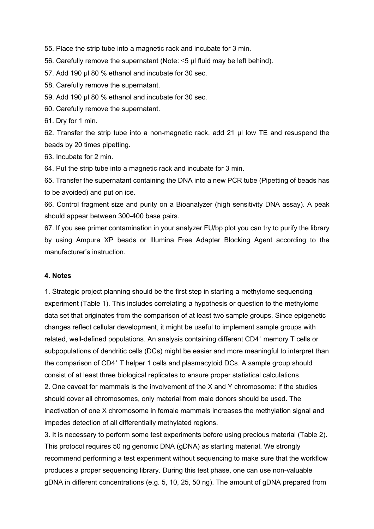55. Place the strip tube into a magnetic rack and incubate for 3 min.

56. Carefully remove the supernatant (Note:  $\leq$ 5 µl fluid may be left behind).

57. Add 190 µl 80 % ethanol and incubate for 30 sec.

58. Carefully remove the supernatant.

59. Add 190 µl 80 % ethanol and incubate for 30 sec.

60. Carefully remove the supernatant.

61. Dry for 1 min.

62. Transfer the strip tube into a non-magnetic rack, add 21 µl low TE and resuspend the beads by 20 times pipetting.

63. Incubate for 2 min.

64. Put the strip tube into a magnetic rack and incubate for 3 min.

65. Transfer the supernatant containing the DNA into a new PCR tube (Pipetting of beads has to be avoided) and put on ice.

66. Control fragment size and purity on a Bioanalyzer (high sensitivity DNA assay). A peak should appear between 300-400 base pairs.

67. If you see primer contamination in your analyzer FU/bp plot you can try to purify the library by using Ampure XP beads or Illumina Free Adapter Blocking Agent according to the manufacturer's instruction.

#### **4. Notes**

1. Strategic project planning should be the first step in starting a methylome sequencing experiment (Table 1). This includes correlating a hypothesis or question to the methylome data set that originates from the comparison of at least two sample groups. Since epigenetic changes reflect cellular development, it might be useful to implement sample groups with related, well-defined populations. An analysis containing different CD4<sup>+</sup> memory T cells or subpopulations of dendritic cells (DCs) might be easier and more meaningful to interpret than the comparison of CD4+ T helper 1 cells and plasmacytoid DCs. A sample group should consist of at least three biological replicates to ensure proper statistical calculations.

2. One caveat for mammals is the involvement of the X and Y chromosome: If the studies should cover all chromosomes, only material from male donors should be used. The inactivation of one X chromosome in female mammals increases the methylation signal and impedes detection of all differentially methylated regions.

3. It is necessary to perform some test experiments before using precious material (Table 2). This protocol requires 50 ng genomic DNA (gDNA) as starting material. We strongly recommend performing a test experiment without sequencing to make sure that the workflow produces a proper sequencing library. During this test phase, one can use non-valuable gDNA in different concentrations (e.g. 5, 10, 25, 50 ng). The amount of gDNA prepared from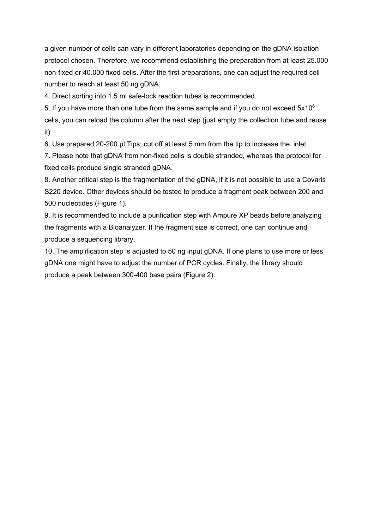a given number of cells can vary in different laboratories depending on the gDNA isolation protocol chosen. Therefore, we recommend establishing the preparation from at least 25.000 non-fixed or 40.000 fixed cells. After the first preparations, one can adjust the required cell number to reach at least 50 ng gDNA.

4. Direct sorting into 1.5 ml safe-lock reaction tubes is recommended.

5. If you have more than one tube from the same sample and if you do not exceed  $5x10^6$ cells, you can reload the column after the next step (just empty the collection tube and reuse it).

6. Use prepared 20-200 µl Tips; cut off at least 5 mm from the tip to increase the inlet.

7. Please note that gDNA from non-fixed cells is double stranded, whereas the protocol for fixed cells produce single stranded gDNA.

8. Another critical step is the fragmentation of the gDNA, if it is not possible to use a Covaris S220 device. Other devices should be tested to produce a fragment peak between 200 and 500 nucleotides (Figure 1).

9. It is recommended to include a purification step with Ampure XP beads before analyzing the fragments with a Bioanalyzer. If the fragment size is correct, one can continue and produce a sequencing library.

10. The amplification step is adjusted to 50 ng input gDNA. If one plans to use more or less gDNA one might have to adjust the number of PCR cycles. Finally, the library should produce a peak between 300-400 base pairs (Figure 2).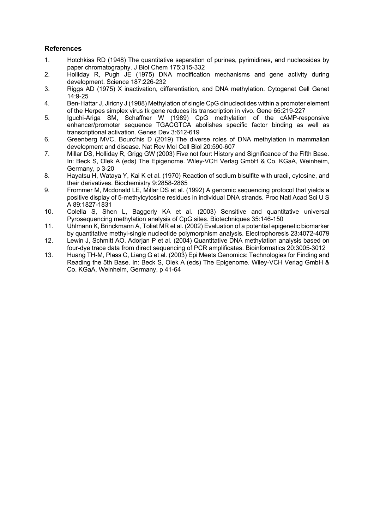#### **References**

- 1. Hotchkiss RD (1948) The quantitative separation of purines, pyrimidines, and nucleosides by paper chromatography. J Biol Chem 175:315-332
- 2. Holliday R, Pugh JE (1975) DNA modification mechanisms and gene activity during development. Science 187:226-232
- 3. Riggs AD (1975) X inactivation, differentiation, and DNA methylation. Cytogenet Cell Genet 14:9-25
- 4. Ben-Hattar J, Jiricny J (1988) Methylation of single CpG dinucleotides within a promoter element of the Herpes simplex virus tk gene reduces its transcription in vivo. Gene 65:219-227
- 5. Iguchi-Ariga SM, Schaffner W (1989) CpG methylation of the cAMP-responsive enhancer/promoter sequence TGACGTCA abolishes specific factor binding as well as transcriptional activation. Genes Dev 3:612-619
- 6. Greenberg MVC, Bourc'his D (2019) The diverse roles of DNA methylation in mammalian development and disease. Nat Rev Mol Cell Biol 20:590-607
- 7. Millar DS, Holliday R, Grigg GW (2003) Five not four: History and Significance of the Fifth Base. In: Beck S, Olek A (eds) The Epigenome. Wiley-VCH Verlag GmbH & Co. KGaA, Weinheim, Germany, p 3-20
- 8. Hayatsu H, Wataya Y, Kai K et al. (1970) Reaction of sodium bisulfite with uracil, cytosine, and their derivatives. Biochemistry 9:2858-2865
- 9. Frommer M, Mcdonald LE, Millar DS et al. (1992) A genomic sequencing protocol that yields a positive display of 5-methylcytosine residues in individual DNA strands. Proc Natl Acad Sci U S A 89:1827-1831
- 10. Colella S, Shen L, Baggerly KA et al. (2003) Sensitive and quantitative universal Pyrosequencing methylation analysis of CpG sites. Biotechniques 35:146-150
- 11. Uhlmann K, Brinckmann A, Toliat MR et al. (2002) Evaluation of a potential epigenetic biomarker by quantitative methyl-single nucleotide polymorphism analysis. Electrophoresis 23:4072-4079
- 12. Lewin J, Schmitt AO, Adorjan P et al. (2004) Quantitative DNA methylation analysis based on four-dye trace data from direct sequencing of PCR amplificates. Bioinformatics 20:3005-3012
- 13. Huang TH-M, Plass C, Liang G et al. (2003) Epi Meets Genomics: Technologies for Finding and Reading the 5th Base. In: Beck S, Olek A (eds) The Epigenome. Wiley-VCH Verlag GmbH & Co. KGaA, Weinheim, Germany, p 41-64